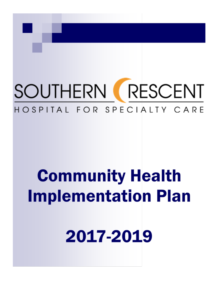# SOUTHERN RESCENT HOSPITAL FOR SPECIALTY CARE

# **Community Health Implementation Plan**

2017-2019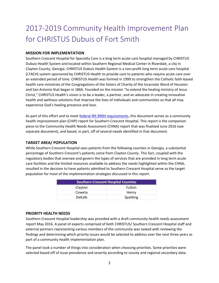### 2017-2019 Community Health Improvement Plan for CHRISTUS Dubuis of Fort Smith

#### **MISSION FOR IMPLEMENTATION**

Southern Crescent Hospital for Specialty Care is a long term acute care hospital managed by CHRISTUS Dubuis Health System and located within Southern Regional Medical Center in Riverdale, a city in Clayton County, Georgia. CHRISTUS Dubuis Health System is a non-profit long term acute care hospital (LTACH) system sponsored by CHRISTUS Health to provide care to patients who require acute care over an extended period of time. CHRISTUS Health was formed in 1999 to strengthen the Catholic faith-based health care ministries of the Congregations of the Sisters of Charity of the Incarnate Word of Houston and San Antonio that began in 1866. Founded on the mission "to extend the healing ministry of Jesus Christ," CHRISTUS Health's vision is to be a leader, a partner, and an advocate in creating innovative health and wellness solutions that improve the lives of individuals and communities so that all may experience God's healing presence and love.

As part of this effort and to meet **federal IRS 990H requirements**, this document serves as a community health improvement plan (CHIP) report for Southern Crescent Hospital. This report is the companion piece to the Community Health Needs Assessment (CHNA) report that was finalized June 2016 (see separate document), and based, in part, off of several needs identified in that document.

#### **TARGET AREA/ POPULATION**

While Southern Crescent Hospital sees patients from the following counties in Georgia, a substantial percentage of Southern Crescent's patients come from Clayton County. This fact, coupled with the regulatory bodies that oversee and govern the types of services that are provided in long term acute care facilities and the limited resources available to address the needs highlighted within the CHNA, resulted in the decision to have patients admitted to Southern Crescent Hospital serve as the target population for most of the implementation strategies discussed in this report.

| <b>Southern Crescent Hospital Counties</b> |               |
|--------------------------------------------|---------------|
| Clayton                                    | <b>Fulton</b> |
| Coweta                                     | Henry         |
| DeKalb                                     | Spalding      |

#### **PRIORITY HEALTH NEEDS**

Southern Crescent Hospital leadership was provided with a draft community health needs assessment report May 2016. A panel of experts comprised of both CHRISTUS/ Southern Crescent Hospital staff and external partners representing various members of the community was tasked with reviewing the findings and determining which priority issues would be selected to address over the next three years as part of a community health implementation plan.

The panel took a number of things into consideration when choosing priorities. Some priorities were selected based off of issue prevalence and severity according to county and regional secondary data.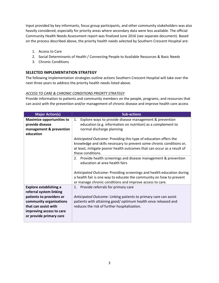Input provided by key informants, focus group participants, and other community stakeholders was also heavily considered, especially for priority areas where secondary data were less available. The official Community Health Needs Assessment report was finalized June 2016 (see separate document). Based on the process described above, the priority health needs selected by Southern Crescent Hospital are:

- 1. Access to Care
- 2. Social Determinants of Health / Connecting People to Available Resources & Basic Needs
- 3. Chronic Conditions

#### **SELECTED IMPLEMENTATION STRATEGY**

The following implementation strategies outline actions Southern Crescent Hospital will take over the next three years to address the priority health needs listed above.

#### *ACCESS TO CARE & CHRONIC CONDITIONS PRIORTY STRATEGY*

Provide information to patients and community members on the people, programs, and resources that can assist with the prevention and/or management of chronic disease and improve health care access

| <b>Major Action(s)</b>                                                                                                                  | <b>Sub-actions</b>                                                                                                                                                                                                                        |
|-----------------------------------------------------------------------------------------------------------------------------------------|-------------------------------------------------------------------------------------------------------------------------------------------------------------------------------------------------------------------------------------------|
| <b>Maximize opportunities to</b><br>provide disease<br>management & prevention<br>education                                             | Explore ways to provide disease management & prevention<br>1.<br>education (e.g. information on nutrition) as a complement to<br>normal discharge planning                                                                                |
|                                                                                                                                         | Anticipated Outcome: Providing this type of education offers the<br>knowledge and skills necessary to prevent some chronic conditions or,<br>at least, mitigate poorer health outcomes that can occur as a result of<br>these conditions. |
|                                                                                                                                         | 2. Provide health screenings and disease management & prevention<br>education at area health fairs                                                                                                                                        |
|                                                                                                                                         | Anticipated Outcome: Providing screenings and health education during<br>a health fair is one way to educate the community on how to prevent<br>or manage chronic conditions and improve access to care.                                  |
| <b>Explore establishing a</b><br>referral system linking<br>patients to providers or<br>community organizations<br>that can assist with | Provide referrals for primary care<br>1.<br>Anticipated Outcome: Linking patients to primary care can assist<br>patients with attaining good/ optimum health once released and<br>reduces the risk of further hospitalization.            |
| improving access to care<br>or provide primary care                                                                                     |                                                                                                                                                                                                                                           |